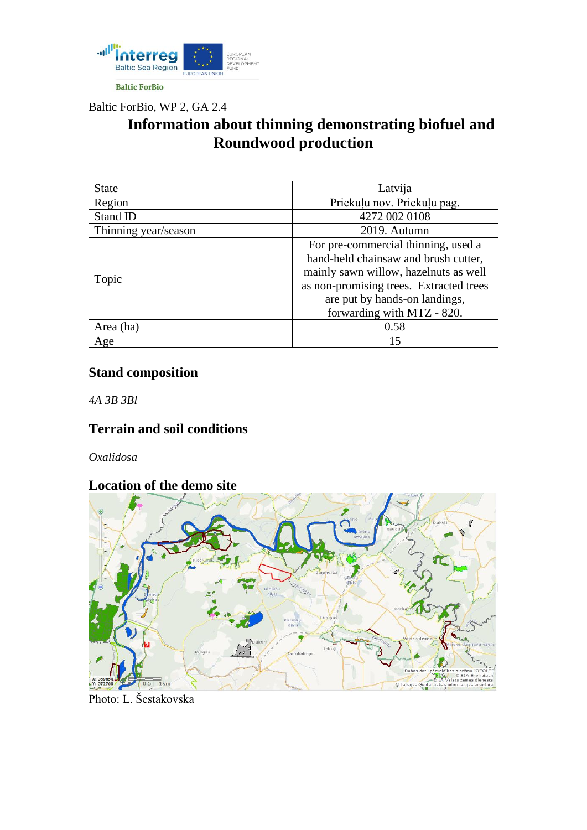

Baltic ForBio, WP 2, GA 2.4

# **Information about thinning demonstrating biofuel and Roundwood production**

| <b>State</b>         | Latvija                                 |
|----------------------|-----------------------------------------|
| Region               | Priekuļu nov. Priekuļu pag.             |
| Stand ID             | 4272 002 0108                           |
| Thinning year/season | 2019. Autumn                            |
| Topic                | For pre-commercial thinning, used a     |
|                      | hand-held chainsaw and brush cutter,    |
|                      | mainly sawn willow, hazelnuts as well   |
|                      | as non-promising trees. Extracted trees |
|                      | are put by hands-on landings,           |
|                      | forwarding with MTZ - 820.              |
| Area (ha)            | 0.58                                    |
| Age                  | 15                                      |

### **Stand composition**

*4A 3B 3Bl*

## **Terrain and soil conditions**

*Oxalidosa*

### **Location of the demo site**



Photo: L. Šestakovska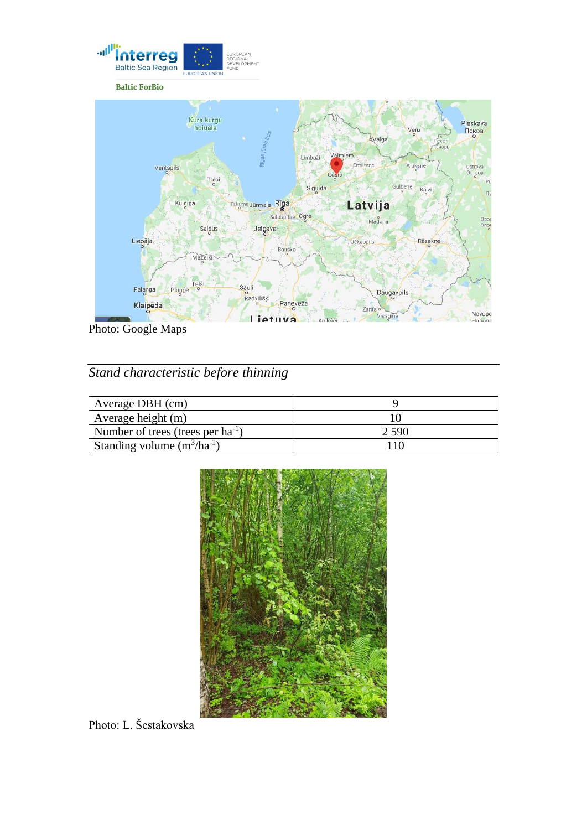

Photo: Google Maps

## *Stand characteristic before thinning*

| Average DBH (cm)                       |       |
|----------------------------------------|-------|
| Average height (m)                     |       |
| Number of trees (trees per $ha^{-1}$ ) | 2.590 |
| Standing volume $(m^3/ha^{-1})$        |       |



Photo: L. Šestakovska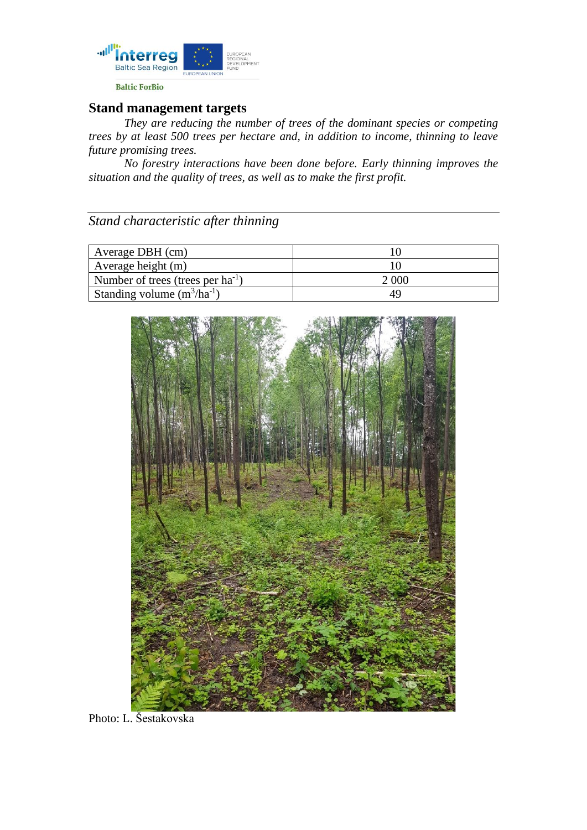

### **Stand management targets**

*They are reducing the number of trees of the dominant species or competing trees by at least 500 trees per hectare and, in addition to income, thinning to leave future promising trees.* 

*No forestry interactions have been done before. Early thinning improves the situation and the quality of trees, as well as to make the first profit.*

*Stand characteristic after thinning*

| Average DBH (cm)                       |       |
|----------------------------------------|-------|
| Average height (m)                     |       |
| Number of trees (trees per $ha^{-1}$ ) | 2 000 |
| Standing volume $(m^3/ha^{-1})$        | 49    |



Photo: L. Šestakovska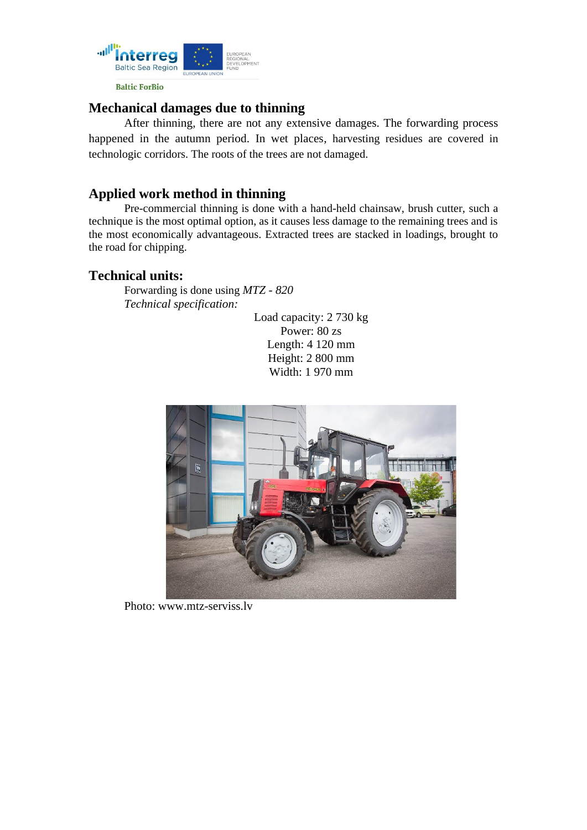

#### **Mechanical damages due to thinning**

After thinning, there are not any extensive damages. The forwarding process happened in the autumn period. In wet places, harvesting residues are covered in technologic corridors. The roots of the trees are not damaged.

#### **Applied work method in thinning**

Pre-commercial thinning is done with a hand-held chainsaw, brush cutter, such a technique is the most optimal option, as it causes less damage to the remaining trees and is the most economically advantageous. Extracted trees are stacked in loadings, brought to the road for chipping.

#### **Technical units:**

Forwarding is done using *MTZ - 820 Technical specification:* 

> Load capacity: 2 730 kg Power: 80 zs Length: 4 120 mm Height: 2 800 mm Width: 1 970 mm



Photo: [www.mtz-serviss.lv](https://www.mtz-serviss.lv/lv/products/98)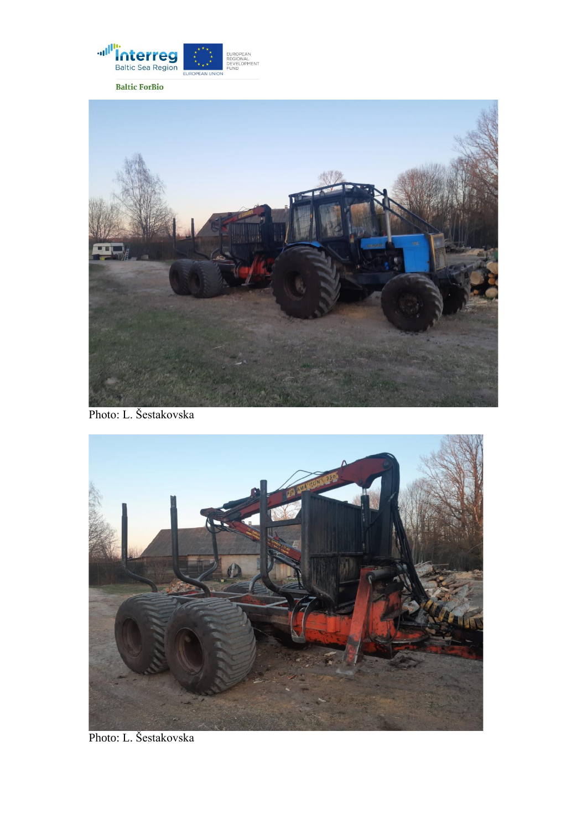



Photo: L. Šestakovska



Photo: L. Šestakovska